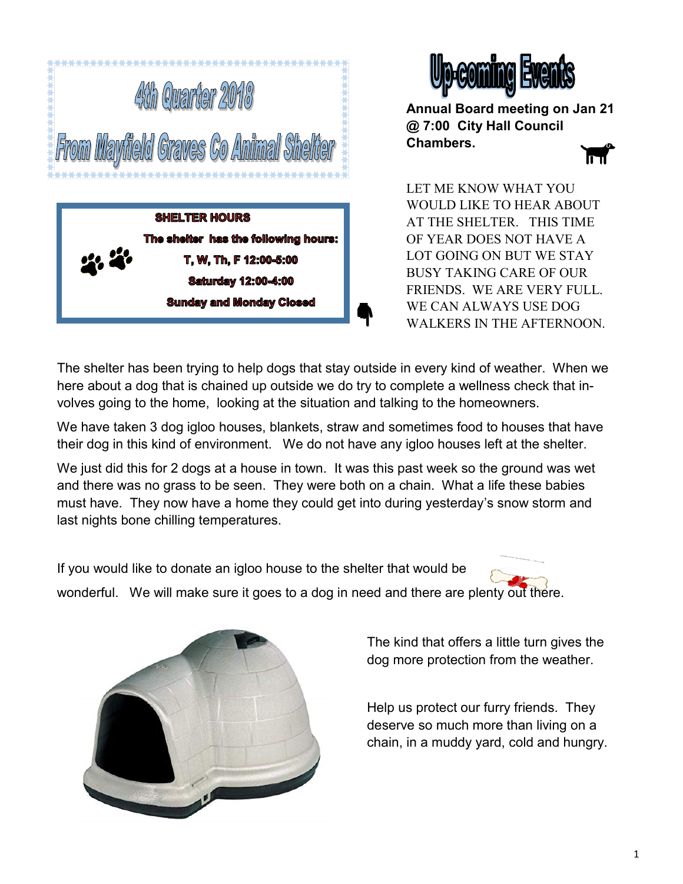



**Annual Board meeting on Jan 21 @ 7:00 City Hall Council Chambers.**

LET ME KNOW WHAT YOU WOULD LIKE TO HEAR ABOUT AT THE SHELTER. THIS TIME OF YEAR DOES NOT HAVE A LOT GOING ON BUT WE STAY BUSY TAKING CARE OF OUR FRIENDS. WE ARE VERY FULL. WE CAN ALWAYS USE DOG WALKERS IN THE AFTERNOON.

The shelter has been trying to help dogs that stay outside in every kind of weather. When we here about a dog that is chained up outside we do try to complete a wellness check that involves going to the home, looking at the situation and talking to the homeowners.

We have taken 3 dog igloo houses, blankets, straw and sometimes food to houses that have their dog in this kind of environment. We do not have any igloo houses left at the shelter.

We just did this for 2 dogs at a house in town. It was this past week so the ground was wet and there was no grass to be seen. They were both on a chain. What a life these babies must have. They now have a home they could get into during yesterday's snow storm and last nights bone chilling temperatures.

If you would like to donate an igloo house to the shelter that would be wonderful. We will make sure it goes to a dog in need and there are plenty out there.



The kind that offers a little turn gives the dog more protection from the weather.

Help us protect our furry friends. They deserve so much more than living on a chain, in a muddy yard, cold and hungry.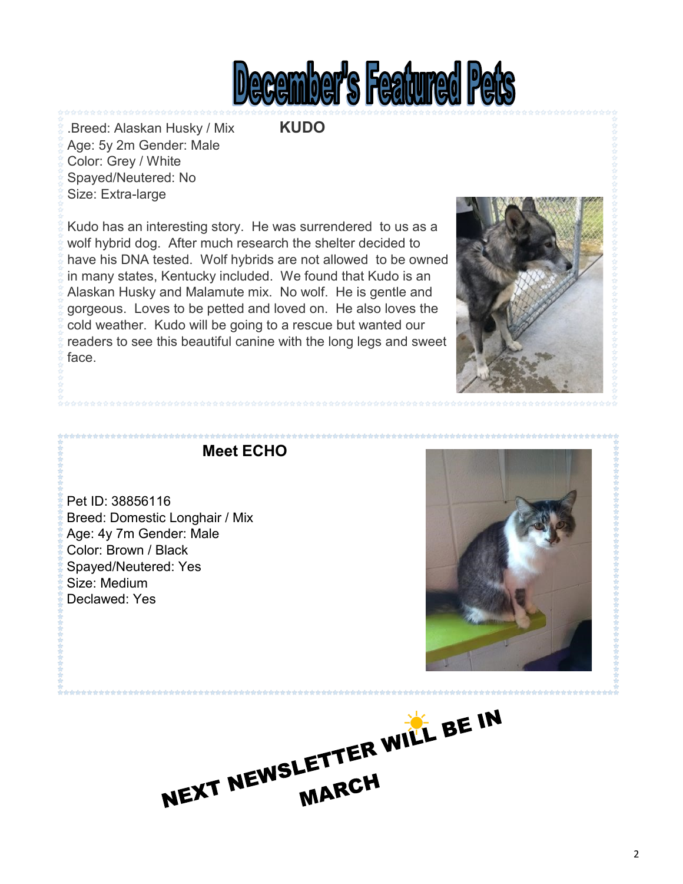

.Breed: Alaskan Husky / Mix **KUDO** Age: 5y 2m Gender: Male Color: Grey / White Spayed/Neutered: No Size: Extra-large

Kudo has an interesting story. He was surrendered to us as a wolf hybrid dog. After much research the shelter decided to have his DNA tested. Wolf hybrids are not allowed to be owned in many states, Kentucky included. We found that Kudo is an Alaskan Husky and Malamute mix. No wolf. He is gentle and gorgeous. Loves to be petted and loved on. He also loves the cold weather. Kudo will be going to a rescue but wanted our readers to see this beautiful canine with the long legs and sweet face.



**Meet ECHO**

Pet ID: 38856116 Breed: Domestic Longhair / Mix Age: 4y 7m Gender: Male Color: Brown / Black Spayed/Neutered: Yes Size: Medium Declawed: Yes



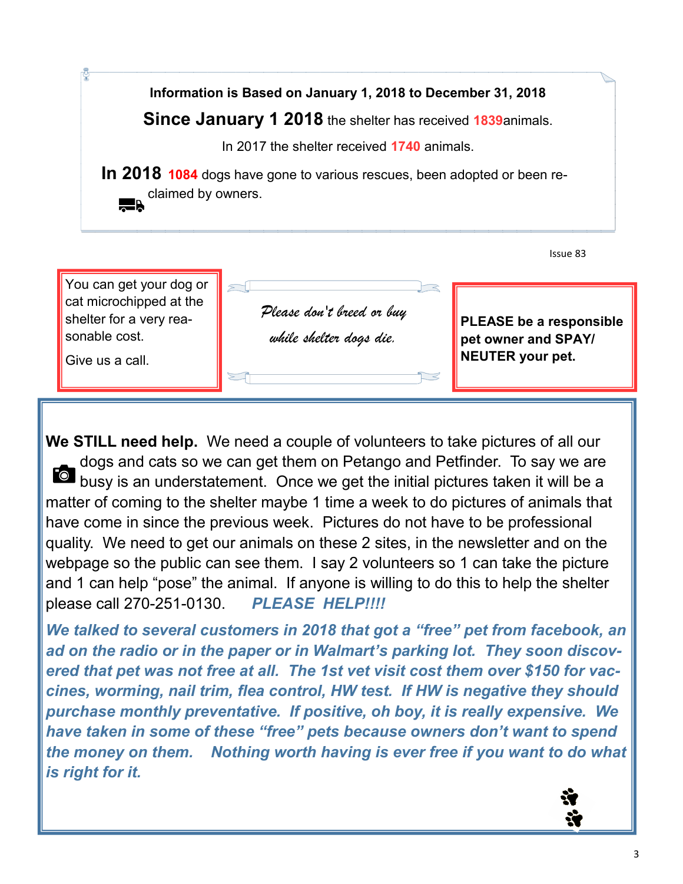**Information is Based on January 1, 2018 to December 31, 2018 Since January 1 2018** the shelter has received **1839**animals. In 2017 the shelter received **1740** animals. **In 2018 1084** dogs have gone to various rescues, been adopted or been reclaimed by owners.  $\blacksquare$ 



**We STILL need help.** We need a couple of volunteers to take pictures of all our dogs and cats so we can get them on Petango and Petfinder. To say we are busy is an understatement. Once we get the initial pictures taken it will be a matter of coming to the shelter maybe 1 time a week to do pictures of animals that have come in since the previous week. Pictures do not have to be professional quality. We need to get our animals on these 2 sites, in the newsletter and on the webpage so the public can see them. I say 2 volunteers so 1 can take the picture and 1 can help "pose" the animal. If anyone is willing to do this to help the shelter please call 270-251-0130. *PLEASE HELP!!!!*

*We talked to several customers in 2018 that got a "free" pet from facebook, an ad on the radio or in the paper or in Walmart's parking lot. They soon discovered that pet was not free at all. The 1st vet visit cost them over \$150 for vaccines, worming, nail trim, flea control, HW test. If HW is negative they should purchase monthly preventative. If positive, oh boy, it is really expensive. We have taken in some of these "free" pets because owners don't want to spend the money on them. Nothing worth having is ever free if you want to do what is right for it.*